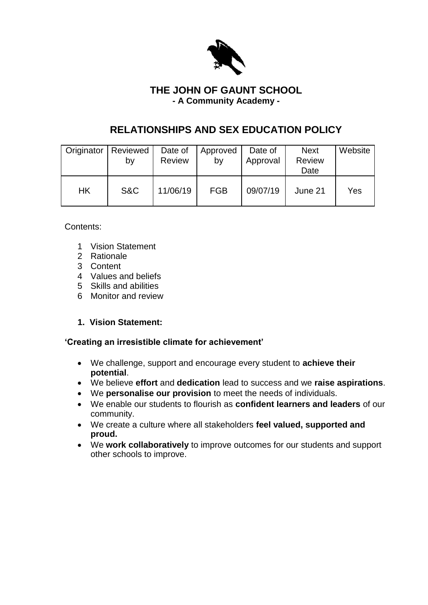

## **THE JOHN OF GAUNT SCHOOL - A Community Academy -**

# **RELATIONSHIPS AND SEX EDUCATION POLICY**

| Originator | Reviewed<br>by | Date of<br>Review | Approved<br>by | Date of<br>Approval | <b>Next</b><br><b>Review</b><br>Date | Website |
|------------|----------------|-------------------|----------------|---------------------|--------------------------------------|---------|
| <b>HK</b>  | S&C            | 11/06/19          | <b>FGB</b>     | 09/07/19            | June 21                              | Yes     |

Contents:

- 1 Vision Statement
- 2 Rationale
- 3 Content
- 4 Values and beliefs
- 5 Skills and abilities
- 6 Monitor and review

### **1. Vision Statement:**

#### **'Creating an irresistible climate for achievement'**

- We challenge, support and encourage every student to **achieve their potential**.
- We believe **effort** and **dedication** lead to success and we **raise aspirations**.
- We **personalise our provision** to meet the needs of individuals.
- We enable our students to flourish as **confident learners and leaders** of our community.
- We create a culture where all stakeholders **feel valued, supported and proud.**
- We **work collaboratively** to improve outcomes for our students and support other schools to improve.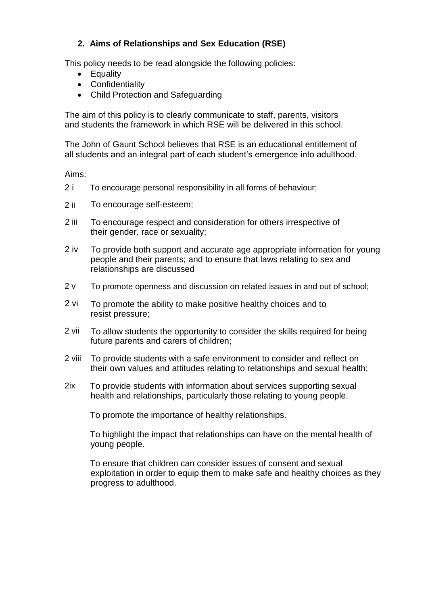## **2. Aims of Relationships and Sex Education (RSE)**

This policy needs to be read alongside the following policies:

- Equality
- Confidentiality
- Child Protection and Safeguarding

The aim of this policy is to clearly communicate to staff, parents, visitors and students the framework in which RSE will be delivered in this school.

The John of Gaunt School believes that RSE is an educational entitlement of all students and an integral part of each student's emergence into adulthood.

Aims:

- 2 i To encourage personal responsibility in all forms of behaviour;
- 2 ii To encourage self-esteem;
- 2 iii To encourage respect and consideration for others irrespective of their gender, race or sexuality;
- 2 iv To provide both support and accurate age appropriate information for young people and their parents; and to ensure that laws relating to sex and relationships are discussed
- 2 v To promote openness and discussion on related issues in and out of school;
- 2 vi To promote the ability to make positive healthy choices and to resist pressure;
- 2 vii To allow students the opportunity to consider the skills required for being future parents and carers of children;
- 2 viii To provide students with a safe environment to consider and reflect on their own values and attitudes relating to relationships and sexual health;
- 2ix To provide students with information about services supporting sexual health and relationships, particularly those relating to young people.

To promote the importance of healthy relationships.

To highlight the impact that relationships can have on the mental health of young people.

To ensure that children can consider issues of consent and sexual exploitation in order to equip them to make safe and healthy choices as they progress to adulthood.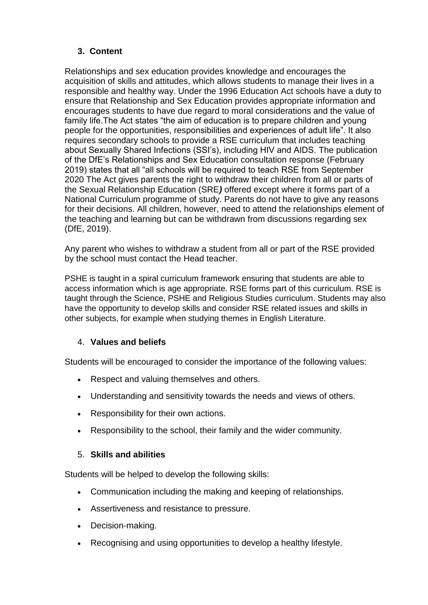# **3. Content**

Relationships and sex education provides knowledge and encourages the acquisition of skills and attitudes, which allows students to manage their lives in a responsible and healthy way. Under the 1996 Education Act schools have a duty to ensure that Relationship and Sex Education provides appropriate information and encourages students to have due regard to moral considerations and the value of family life.The Act states "the aim of education is to prepare children and young people for the opportunities, responsibilities and experiences of adult life". It also requires secondary schools to provide a RSE curriculum that includes teaching about Sexually Shared Infections (SSI's), including HIV and AIDS. The publication of the DfE's Relationships and Sex Education consultation response (February 2019) states that all "all schools will be required to teach RSE from September 2020 The Act gives parents the right to withdraw their children from all or parts of the Sexual Relationship Education (SRE*)* offered except where it forms part of a National Curriculum programme of study. Parents do not have to give any reasons for their decisions. All children, however, need to attend the relationships element of the teaching and learning but can be withdrawn from discussions regarding sex (DfE, 2019).

Any parent who wishes to withdraw a student from all or part of the RSE provided by the school must contact the Head teacher.

PSHE is taught in a spiral curriculum framework ensuring that students are able to access information which is age appropriate. RSE forms part of this curriculum. RSE is taught through the Science, PSHE and Religious Studies curriculum. Students may also have the opportunity to develop skills and consider RSE related issues and skills in other subjects, for example when studying themes in English Literature.

### 4. **Values and beliefs**

Students will be encouraged to consider the importance of the following values:

- Respect and valuing themselves and others.
- Understanding and sensitivity towards the needs and views of others.
- Responsibility for their own actions.
- Responsibility to the school, their family and the wider community.

#### 5. **Skills and abilities**

Students will be helped to develop the following skills:

- Communication including the making and keeping of relationships.
- Assertiveness and resistance to pressure.
- Decision-making.
- Recognising and using opportunities to develop a healthy lifestyle.